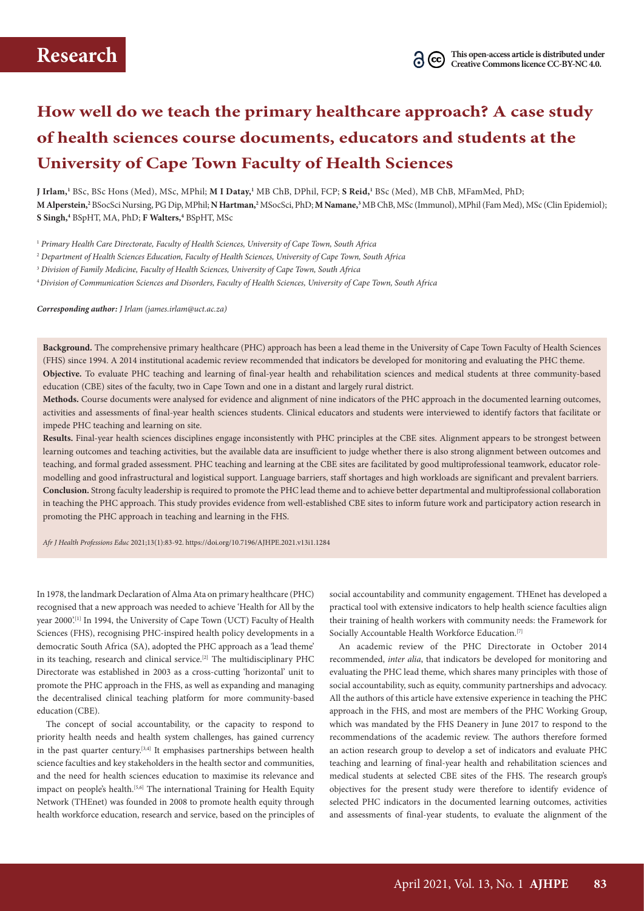# **How well do we teach the primary healthcare approach? A case study of health sciences course documents, educators and students at the University of Cape Town Faculty of Health Sciences**

**J Irlam,1** BSc, BSc Hons (Med), MSc, MPhil; **M I Datay,1** MB ChB, DPhil, FCP; **S Reid,1** BSc (Med), MB ChB, MFamMed, PhD; **M Alperstein,2** BSocSci Nursing, PG Dip, MPhil; **N Hartman,2** MSocSci, PhD; **M Namane,3** MB ChB, MSc (Immunol), MPhil (Fam Med), MSc (Clin Epidemiol); **S Singh,4** BSpHT, MA, PhD; **F Walters,4** BSpHT, MSc

1  *Primary Health Care Directorate, Faculty of Health Sciences, University of Cape Town, South Africa* 

2  *Department of Health Sciences Education, Faculty of Health Sciences, University of Cape Town, South Africa* 

3  *Division of Family Medicine, Faculty of Health Sciences, University of Cape Town, South Africa*

<sup>4</sup>*Division of Communication Sciences and Disorders, Faculty of Health Sciences, University of Cape Town, South Africa*

*Corresponding author: J Irlam (james.irlam@uct.ac.za)*

**Background.** The comprehensive primary healthcare (PHC) approach has been a lead theme in the University of Cape Town Faculty of Health Sciences (FHS) since 1994. A 2014 institutional academic review recommended that indicators be developed for monitoring and evaluating the PHC theme. **Objective.** To evaluate PHC teaching and learning of final-year health and rehabilitation sciences and medical students at three community-based education (CBE) sites of the faculty, two in Cape Town and one in a distant and largely rural district.

**Methods.** Course documents were analysed for evidence and alignment of nine indicators of the PHC approach in the documented learning outcomes, activities and assessments of final-year health sciences students. Clinical educators and students were interviewed to identify factors that facilitate or impede PHC teaching and learning on site.

**Results.** Final-year health sciences disciplines engage inconsistently with PHC principles at the CBE sites. Alignment appears to be strongest between learning outcomes and teaching activities, but the available data are insufficient to judge whether there is also strong alignment between outcomes and teaching, and formal graded assessment. PHC teaching and learning at the CBE sites are facilitated by good multiprofessional teamwork, educator rolemodelling and good infrastructural and logistical support. Language barriers, staff shortages and high workloads are significant and prevalent barriers. **Conclusion.** Strong faculty leadership is required to promote the PHC lead theme and to achieve better departmental and multiprofessional collaboration in teaching the PHC approach. This study provides evidence from well-established CBE sites to inform future work and participatory action research in promoting the PHC approach in teaching and learning in the FHS.

*Afr J Health Professions Educ* 2021;13(1):83-92. https://doi.org/10.7196/AJHPE.2021.v13i1.1284

In 1978, the landmark Declaration of Alma Ata on primary healthcare (PHC) recognised that a new approach was needed to achieve 'Health for All by the year 2000'.<sup>[1]</sup> In 1994, the University of Cape Town (UCT) Faculty of Health Sciences (FHS), recognising PHC-inspired health policy developments in a democratic South Africa (SA), adopted the PHC approach as a 'lead theme' in its teaching, research and clinical service.<sup>[2]</sup> The multidisciplinary  $PHC$ Directorate was established in 2003 as a cross-cutting 'horizontal' unit to promote the PHC approach in the FHS, as well as expanding and managing the decentralised clinical teaching platform for more community-based education (CBE).

The concept of social accountability, or the capacity to respond to priority health needs and health system challenges, has gained currency in the past quarter century.[3,4] It emphasises partnerships between health science faculties and key stakeholders in the health sector and communities, and the need for health sciences education to maximise its relevance and impact on people's health.<sup>[5,6]</sup> The international Training for Health Equity Network (THEnet) was founded in 2008 to promote health equity through health workforce education, research and service, based on the principles of

social accountability and community engagement. THEnet has developed a practical tool with extensive indicators to help health science faculties align their training of health workers with community needs: the Framework for Socially Accountable Health Workforce Education.<sup>[7]</sup>

An academic review of the PHC Directorate in October 2014 recommended, *inter alia*, that indicators be developed for monitoring and evaluating the PHC lead theme, which shares many principles with those of social accountability, such as equity, community partnerships and advocacy. All the authors of this article have extensive experience in teaching the PHC approach in the FHS, and most are members of the PHC Working Group, which was mandated by the FHS Deanery in June 2017 to respond to the recommendations of the academic review. The authors therefore formed an action research group to develop a set of indicators and evaluate PHC teaching and learning of final-year health and rehabilitation sciences and medical students at selected CBE sites of the FHS. The research group's objectives for the present study were therefore to identify evidence of selected PHC indicators in the documented learning outcomes, activities and assessments of final-year students, to evaluate the alignment of the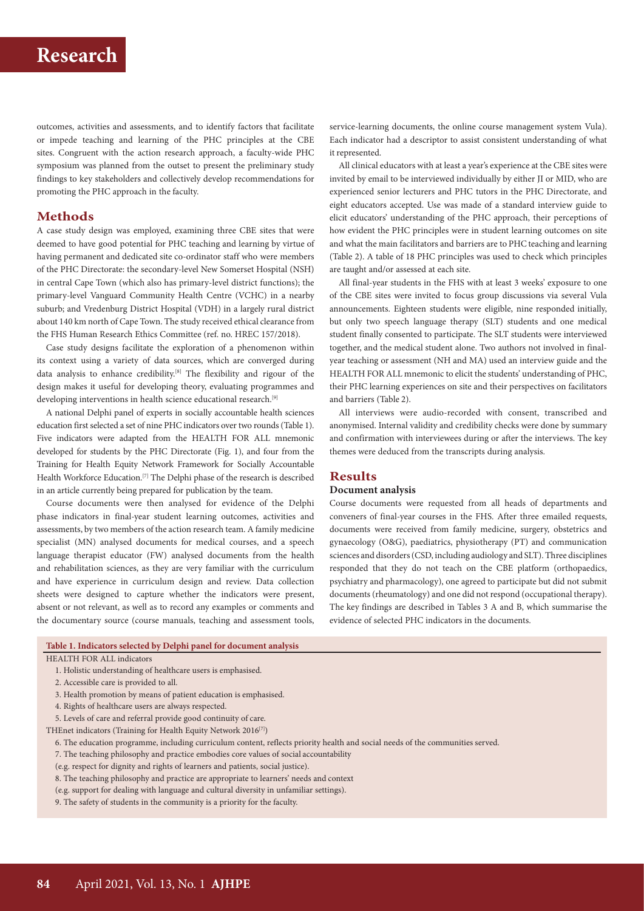outcomes, activities and assessments, and to identify factors that facilitate or impede teaching and learning of the PHC principles at the CBE sites. Congruent with the action research approach, a faculty-wide PHC symposium was planned from the outset to present the preliminary study findings to key stakeholders and collectively develop recommendations for promoting the PHC approach in the faculty.

#### **Methods**

A case study design was employed, examining three CBE sites that were deemed to have good potential for PHC teaching and learning by virtue of having permanent and dedicated site co-ordinator staff who were members of the PHC Directorate: the secondary-level New Somerset Hospital (NSH) in central Cape Town (which also has primary-level district functions); the primary-level Vanguard Community Health Centre (VCHC) in a nearby suburb; and Vredenburg District Hospital (VDH) in a largely rural district about 140 km north of Cape Town. The study received ethical clearance from the FHS Human Research Ethics Committee (ref. no. HREC 157/2018).

Case study designs facilitate the exploration of a phenomenon within its context using a variety of data sources, which are converged during data analysis to enhance credibility.[8] The flexibility and rigour of the design makes it useful for developing theory, evaluating programmes and developing interventions in health science educational research.<sup>[9]</sup>

A national Delphi panel of experts in socially accountable health sciences education first selected a set of nine PHC indicators over two rounds (Table 1). Five indicators were adapted from the HEALTH FOR ALL mnemonic developed for students by the PHC Directorate (Fig. 1), and four from the Training for Health Equity Network Framework for Socially Accountable Health Workforce Education.<sup>[7]</sup> The Delphi phase of the research is described in an article currently being prepared for publication by the team.

Course documents were then analysed for evidence of the Delphi phase indicators in final-year student learning outcomes, activities and assessments, by two members of the action research team. A family medicine specialist (MN) analysed documents for medical courses, and a speech language therapist educator (FW) analysed documents from the health and rehabilitation sciences, as they are very familiar with the curriculum and have experience in curriculum design and review. Data collection sheets were designed to capture whether the indicators were present, absent or not relevant, as well as to record any examples or comments and the documentary source (course manuals, teaching and assessment tools,

service-learning documents, the online course management system Vula). Each indicator had a descriptor to assist consistent understanding of what it represented.

All clinical educators with at least a year's experience at the CBE sites were invited by email to be interviewed individually by either JI or MID, who are experienced senior lecturers and PHC tutors in the PHC Directorate, and eight educators accepted. Use was made of a standard interview guide to elicit educators' understanding of the PHC approach, their perceptions of how evident the PHC principles were in student learning outcomes on site and what the main facilitators and barriers are to PHC teaching and learning (Table 2). A table of 18 PHC principles was used to check which principles are taught and/or assessed at each site.

All final-year students in the FHS with at least 3 weeks' exposure to one of the CBE sites were invited to focus group discussions via several Vula announcements. Eighteen students were eligible, nine responded initially, but only two speech language therapy (SLT) students and one medical student finally consented to participate. The SLT students were interviewed together, and the medical student alone. Two authors not involved in finalyear teaching or assessment (NH and MA) used an interview guide and the HEALTH FOR ALL mnemonic to elicit the students' understanding of PHC, their PHC learning experiences on site and their perspectives on facilitators and barriers (Table 2).

All interviews were audio-recorded with consent, transcribed and anonymised. Internal validity and credibility checks were done by summary and confirmation with interviewees during or after the interviews. The key themes were deduced from the transcripts during analysis.

#### **Results**

#### **Document analysis**

Course documents were requested from all heads of departments and conveners of final-year courses in the FHS. After three emailed requests, documents were received from family medicine, surgery, obstetrics and gynaecology (O&G), paediatrics, physiotherapy (PT) and communication sciences and disorders (CSD, including audiology and SLT). Three disciplines responded that they do not teach on the CBE platform (orthopaedics, psychiatry and pharmacology), one agreed to participate but did not submit documents (rheumatology) and one did not respond (occupational therapy). The key findings are described in Tables 3 A and B, which summarise the evidence of selected PHC indicators in the documents.

**Table 1. Indicators selected by Delphi panel for document analysis**

HEALTH FOR ALL indicators

- 1. Holistic understanding of healthcare users is emphasised.
- 2. Accessible care is provided to all.
- 3. Health promotion by means of patient education is emphasised.
- 4. Rights of healthcare users are always respected.
- 5. Levels of care and referral provide good continuity of care.
- THEnet indicators (Training for Health Equity Network 2016<sup>[7]</sup>)
	- 6. The education programme, including curriculum content, reflects priority health and social needs of the communities served.
	- 7. The teaching philosophy and practice embodies core values of social accountability
	- (e.g. respect for dignity and rights of learners and patients, social justice).
	- 8. The teaching philosophy and practice are appropriate to learners' needs and context
	- (e.g. support for dealing with language and cultural diversity in unfamiliar settings).
	- 9. The safety of students in the community is a priority for the faculty.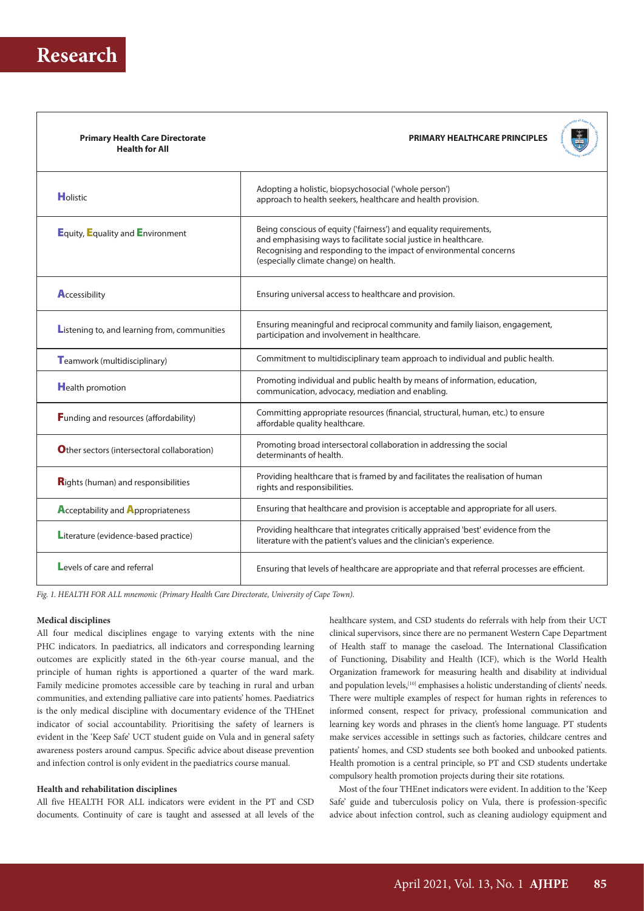| <b>Primary Health Care Directorate</b><br><b>Health for All</b> | <b>PRIMARY HEALTHCARE PRINCIPLES</b>                                                                                                                                                                                                                  |
|-----------------------------------------------------------------|-------------------------------------------------------------------------------------------------------------------------------------------------------------------------------------------------------------------------------------------------------|
| Holistic                                                        | Adopting a holistic, biopsychosocial ('whole person')<br>approach to health seekers, healthcare and health provision.                                                                                                                                 |
| Equity, Equality and Environment                                | Being conscious of equity ('fairness') and equality requirements,<br>and emphasising ways to facilitate social justice in healthcare.<br>Recognising and responding to the impact of environmental concerns<br>(especially climate change) on health. |
| Accessibility                                                   | Ensuring universal access to healthcare and provision.                                                                                                                                                                                                |
| Listening to, and learning from, communities                    | Ensuring meaningful and reciprocal community and family liaison, engagement,<br>participation and involvement in healthcare.                                                                                                                          |
| Teamwork (multidisciplinary)                                    | Commitment to multidisciplinary team approach to individual and public health.                                                                                                                                                                        |
| <b>Health promotion</b>                                         | Promoting individual and public health by means of information, education,<br>communication, advocacy, mediation and enabling.                                                                                                                        |
| Funding and resources (affordability)                           | Committing appropriate resources (financial, structural, human, etc.) to ensure<br>affordable quality healthcare.                                                                                                                                     |
| Other sectors (intersectoral collaboration)                     | Promoting broad intersectoral collaboration in addressing the social<br>determinants of health.                                                                                                                                                       |
| <b>Rights (human) and responsibilities</b>                      | Providing healthcare that is framed by and facilitates the realisation of human<br>rights and responsibilities.                                                                                                                                       |
| <b>Acceptability and Appropriateness</b>                        | Ensuring that healthcare and provision is acceptable and appropriate for all users.                                                                                                                                                                   |
| Literature (evidence-based practice)                            | Providing healthcare that integrates critically appraised 'best' evidence from the<br>literature with the patient's values and the clinician's experience.                                                                                            |
| Levels of care and referral                                     | Ensuring that levels of healthcare are appropriate and that referral processes are efficient.                                                                                                                                                         |

*Fig. 1. HEALTH FOR ALL mnemonic (Primary Health Care Directorate, University of Cape Town).*

#### **Medical disciplines**

All four medical disciplines engage to varying extents with the nine PHC indicators. In paediatrics, all indicators and corresponding learning outcomes are explicitly stated in the 6th-year course manual, and the principle of human rights is apportioned a quarter of the ward mark. Family medicine promotes accessible care by teaching in rural and urban communities, and extending palliative care into patients' homes. Paediatrics is the only medical discipline with documentary evidence of the THEnet indicator of social accountability. Prioritising the safety of learners is evident in the 'Keep Safe' UCT student guide on Vula and in general safety awareness posters around campus. Specific advice about disease prevention and infection control is only evident in the paediatrics course manual.

#### **Health and rehabilitation disciplines**

All five HEALTH FOR ALL indicators were evident in the PT and CSD documents. Continuity of care is taught and assessed at all levels of the healthcare system, and CSD students do referrals with help from their UCT clinical supervisors, since there are no permanent Western Cape Department of Health staff to manage the caseload. The International Classification of Functioning, Disability and Health (ICF), which is the World Health Organization framework for measuring health and disability at individual and population levels,<sup>[10]</sup> emphasises a holistic understanding of clients' needs. There were multiple examples of respect for human rights in references to informed consent, respect for privacy, professional communication and learning key words and phrases in the client's home language. PT students make services accessible in settings such as factories, childcare centres and patients' homes, and CSD students see both booked and unbooked patients. Health promotion is a central principle, so PT and CSD students undertake compulsory health promotion projects during their site rotations.

Most of the four THEnet indicators were evident. In addition to the 'Keep Safe' guide and tuberculosis policy on Vula, there is profession-specific advice about infection control, such as cleaning audiology equipment and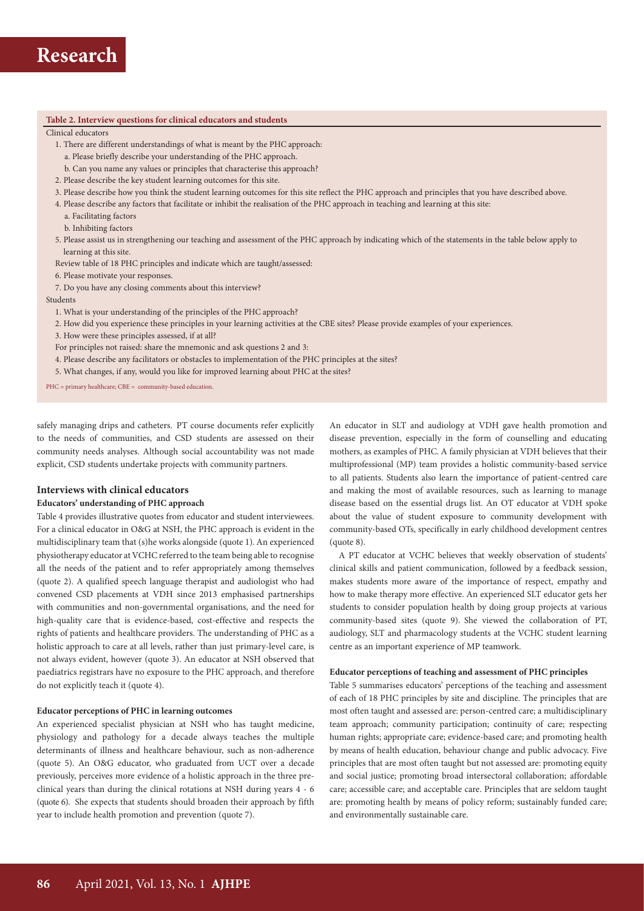#### **Table 2. Interview questions for clinical educators and students**

#### Clinical educators

- 1. There are different understandings of what is meant by the PHC approach:
	- a. Please briefly describe your understanding of the PHC approach.
	- b. Can you name any values or principles that characterise this approach?
- 2. Please describe the key student learning outcomes for this site.
- 3. Please describe how you think the student learning outcomes for this site reflect the PHC approach and principles that you have described above.
- 4. Please describe any factors that facilitate or inhibit the realisation of the PHC approach in teaching and learning at this site:
	- a. Facilitating factors
	- b. Inhibiting factors
- 5. Please assist us in strengthening our teaching and assessment of the PHC approach by indicating which of the statements in the table below apply to learning at this site.
- Review table of 18 PHC principles and indicate which are taught/assessed:
- 6. Please motivate your responses.
- 7. Do you have any closing comments about this interview?

#### Students

- 1. What is your understanding of the principles of the PHC approach?
- 2. How did you experience these principles in your learning activities at the CBE sites? Please provide examples of your experiences.
- 3. How were these principles assessed, if at all?
- For principles not raised: share the mnemonic and ask questions 2 and 3:
- 4. Please describe any facilitators or obstacles to implementation of the PHC principles at the sites?
- 5. What changes, if any, would you like for improved learning about PHC at the sites?

PHC = primary healthcare; CBE = community-based education.

safely managing drips and catheters. PT course documents refer explicitly to the needs of communities, and CSD students are assessed on their community needs analyses. Although social accountability was not made explicit, CSD students undertake projects with community partners.

#### **Interviews with clinical educators**

#### **Educators' understanding of PHC approach**

Table 4 provides illustrative quotes from educator and student interviewees. For a clinical educator in O&G at NSH, the PHC approach is evident in the multidisciplinary team that (s)he works alongside (quote 1). An experienced physiotherapy educator at VCHC referred to the team being able to recognise all the needs of the patient and to refer appropriately among themselves (quote 2). A qualified speech language therapist and audiologist who had convened CSD placements at VDH since 2013 emphasised partnerships with communities and non-governmental organisations, and the need for high-quality care that is evidence-based, cost-effective and respects the rights of patients and healthcare providers. The understanding of PHC as a holistic approach to care at all levels, rather than just primary-level care, is not always evident, however (quote 3). An educator at NSH observed that paediatrics registrars have no exposure to the PHC approach, and therefore do not explicitly teach it (quote 4).

#### **Educator perceptions of PHC in learning outcomes**

An experienced specialist physician at NSH who has taught medicine, physiology and pathology for a decade always teaches the multiple determinants of illness and healthcare behaviour, such as non-adherence (quote 5). An O&G educator, who graduated from UCT over a decade previously, perceives more evidence of a holistic approach in the three preclinical years than during the clinical rotations at NSH during years 4 - 6 (quote 6). She expects that students should broaden their approach by fifth year to include health promotion and prevention (quote 7).

An educator in SLT and audiology at VDH gave health promotion and disease prevention, especially in the form of counselling and educating mothers, as examples of PHC. A family physician at VDH believes that their multiprofessional (MP) team provides a holistic community-based service to all patients. Students also learn the importance of patient-centred care and making the most of available resources, such as learning to manage disease based on the essential drugs list. An OT educator at VDH spoke about the value of student exposure to community development with community-based OTs, specifically in early childhood development centres (quote 8).

A PT educator at VCHC believes that weekly observation of students' clinical skills and patient communication, followed by a feedback session, makes students more aware of the importance of respect, empathy and how to make therapy more effective. An experienced SLT educator gets her students to consider population health by doing group projects at various community-based sites (quote 9). She viewed the collaboration of PT, audiology, SLT and pharmacology students at the VCHC student learning centre as an important experience of MP teamwork.

#### **Educator perceptions of teaching and assessment of PHC principles**

Table 5 summarises educators' perceptions of the teaching and assessment of each of 18 PHC principles by site and discipline. The principles that are most often taught and assessed are: person-centred care; a multidisciplinary team approach; community participation; continuity of care; respecting human rights; appropriate care; evidence-based care; and promoting health by means of health education, behaviour change and public advocacy. Five principles that are most often taught but not assessed are: promoting equity and social justice; promoting broad intersectoral collaboration; affordable care; accessible care; and acceptable care. Principles that are seldom taught are: promoting health by means of policy reform; sustainably funded care; and environmentally sustainable care.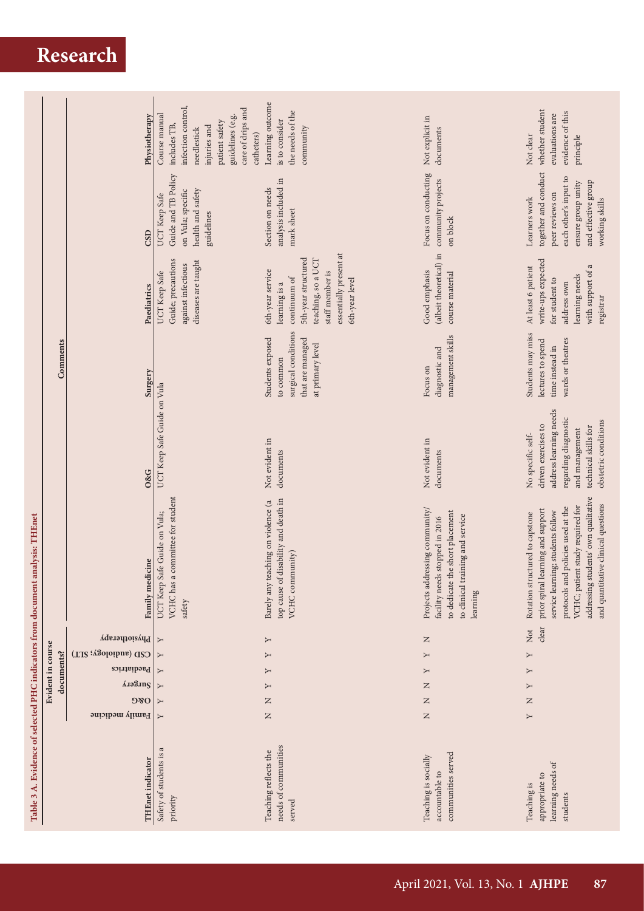# **Research**  $\mathbf{L} = \mathbf{I}$

|                                                                               |                   | Physiotherapy          | infection control,<br>care of drips and<br>Course manual<br>guidelines (e.g.<br>patient safety<br>includes TB,<br>injuries and<br>needlestick<br>catheters) | Learning outcome<br>the needs of the<br>is to consider<br>community                                                                                           | Not explicit in<br>documents                                                                                                                        | whether student<br>evidence of this<br>evaluations are<br>Not clear<br>principle                                                                                                                                                                                      |
|-------------------------------------------------------------------------------|-------------------|------------------------|-------------------------------------------------------------------------------------------------------------------------------------------------------------|---------------------------------------------------------------------------------------------------------------------------------------------------------------|-----------------------------------------------------------------------------------------------------------------------------------------------------|-----------------------------------------------------------------------------------------------------------------------------------------------------------------------------------------------------------------------------------------------------------------------|
|                                                                               |                   | CSD                    | Guide and TB Policy<br>health and safety<br>on Vula; specific<br>UCT Keep Safe<br>guidelines                                                                | analysis included in<br>Section on needs<br>mark sheet                                                                                                        | Focus on conducting<br>community projects<br>on block                                                                                               | together and conduct<br>each other's input to<br>and effective group<br>ensure group unity<br>peer reviews on<br>Learners work<br>working skills                                                                                                                      |
|                                                                               |                   | Paediatrics            | Guide; precautions<br>diseases are taught<br>against infectious<br>UCT Keep Safe                                                                            | essentially present at<br>5th-year structured<br>teaching, so a UCT<br>6th-year service<br>staff member is<br>continuum of<br>6th-year level<br>learning is a | (albeit theoretical) in<br>Good emphasis<br>course material                                                                                         | write-ups expected<br>with support of a<br>At least 6 patient<br>learning needs<br>for student to<br>address own<br>registrar                                                                                                                                         |
|                                                                               | Comments          | Surgery                |                                                                                                                                                             | surgical conditions<br>Students exposed<br>that are managed<br>at primary level<br>to common                                                                  | management skills<br>diagnostic and<br>Focus on                                                                                                     | Students may miss<br>wards or theatres<br>lectures to spend<br>time instead in                                                                                                                                                                                        |
|                                                                               |                   | <b>O&amp;G</b>         | UCT Keep Safe Guide on Vula                                                                                                                                 | Not evident in<br>documents                                                                                                                                   | Not evident in<br>documents                                                                                                                         | address learning needs<br>regarding diagnostic<br>obstetric conditions<br>driven exercises to<br>technical skills for<br>and management<br>No specific self-                                                                                                          |
| Table 3 A. Evidence of selected PHC indicators from document analysis: THEnet |                   | Family medicine        | VCHC has a committee for student<br>UCT Keep Safe Guide on Vula;<br>safety                                                                                  | of disability and death in<br>Barely any teaching on violence (a<br>VCHC community)<br>top cause                                                              | Projects addressing community/<br>to dedicate the short placement<br>to clinical training and service<br>facility needs stopped in 2016<br>learning | addressing students' own qualitative<br>and quantitative clinical questions<br>VCHC; patient study required for<br>protocols and policies used at the<br>prior spiral learning and support<br>service learning; students follow<br>structured to capstone<br>Rotation |
|                                                                               |                   | Physiotherapy          | Υ                                                                                                                                                           | Υ                                                                                                                                                             | $\square$                                                                                                                                           | clear<br>Not                                                                                                                                                                                                                                                          |
|                                                                               | Evident in course | CSD (audiology; SLT)   | ≻                                                                                                                                                           | Υ                                                                                                                                                             | Y                                                                                                                                                   | Υ                                                                                                                                                                                                                                                                     |
|                                                                               | documents?        | Paediatrics<br>Surgery | Υ                                                                                                                                                           | Υ                                                                                                                                                             | Υ                                                                                                                                                   | Υ                                                                                                                                                                                                                                                                     |
|                                                                               |                   | <b>980</b>             | Υ<br>Υ                                                                                                                                                      | Υ<br>$\square$                                                                                                                                                | $\square$<br>$\, \geq$                                                                                                                              | Υ<br>$\succ$                                                                                                                                                                                                                                                          |
|                                                                               |                   | Family medicine        | Υ                                                                                                                                                           | $\square$                                                                                                                                                     | $\simeq$                                                                                                                                            | Υ                                                                                                                                                                                                                                                                     |
|                                                                               |                   | THEnet indicator       | Safety of students is a<br>priority                                                                                                                         | needs of communities<br>Teaching reflects the<br>served                                                                                                       | communities served<br>Teaching is socially<br>accountable to                                                                                        | learning needs of<br>appropriate to<br>Teaching is<br>students                                                                                                                                                                                                        |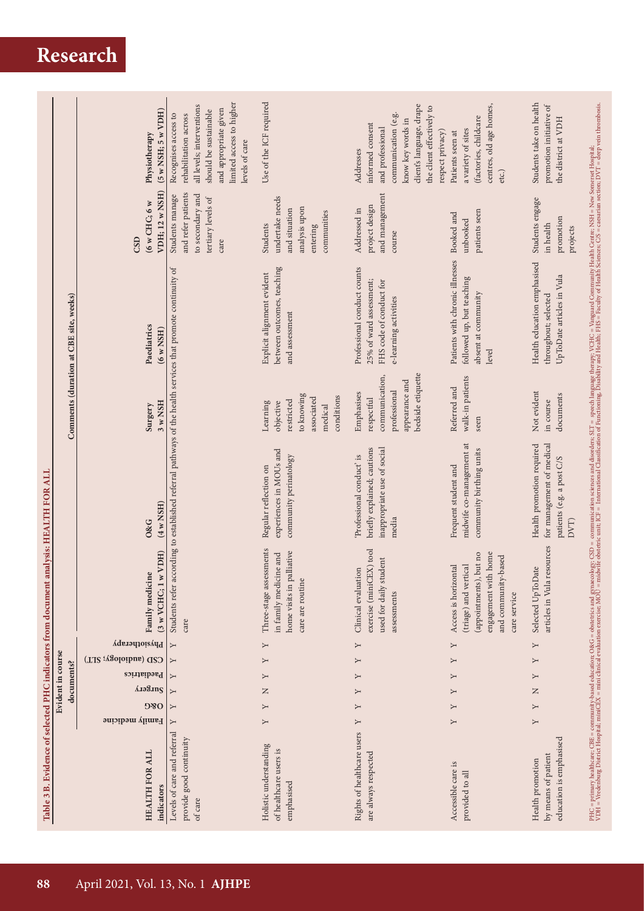|                                                              |                                        | $(5 \text{ w}$ NSH; $5 \text{ w}$ VDH)<br>Physiotherapy                | limited access to higher<br>all levels; interventions<br>and appropriate given<br>should be sustainable<br>rehabilitation across<br>Recognises access to<br>levels of care | Use of the ICF required                                                                               | client's language, drape<br>the client effectively to<br>communication (e.g.<br>know key words in<br>informed consent<br>and professional<br>respect privacy)<br>Addresses | centres, old age homes,<br>(factories, childcare<br>a variety of sites<br>Patients seen at<br>etc.)                                    | Students take on health<br>promotion initiative of<br>the district at VDH                                                                                                                                                                                                                                          |
|--------------------------------------------------------------|----------------------------------------|------------------------------------------------------------------------|----------------------------------------------------------------------------------------------------------------------------------------------------------------------------|-------------------------------------------------------------------------------------------------------|----------------------------------------------------------------------------------------------------------------------------------------------------------------------------|----------------------------------------------------------------------------------------------------------------------------------------|--------------------------------------------------------------------------------------------------------------------------------------------------------------------------------------------------------------------------------------------------------------------------------------------------------------------|
|                                                              |                                        | $VDH$ ; $12 w$ NSH)<br>$(6 \text{ w } CHC; 6 \text{ w})$<br><b>CSD</b> | and refer patients<br>to secondary and<br>Students manage<br>tertiary levels of<br>care                                                                                    | undertake needs<br>analysis upon<br>and situation<br>communities<br>Students<br>entering              | and management<br>project design<br>Addressed in<br>course                                                                                                                 | patients seen<br>Booked and<br>unbooked                                                                                                | Students engage<br>promotion<br>in health<br>projects                                                                                                                                                                                                                                                              |
|                                                              | Comments (duration at CBE site, weeks) | Paediatrics<br>$(6 \text{ w}$ NSH)                                     | according to established referral pathways of the health services that promote continuity of                                                                               | between outcomes, teaching<br>Explicit alignment evident<br>and assessment                            | Professional conduct counts<br>25% of ward assessment;<br>FHS code of conduct for<br>e-learning activities                                                                 | Patients with chronic illnesses<br>followed up, but teaching<br>absent at community<br>level                                           | PHC = primary healthcare; CBE = community-based education; O&G = obstetrics and gynaecology; CSD = communication sciences and disorders; SLT = speech language therapy; VCHC = Vanguard Community Health Centre; NSH = New Som<br>Health education emphasised<br>UpToDate articles in Vula<br>throughout; selected |
|                                                              |                                        | $3 \text{ w}$ NSH<br>Surgery                                           |                                                                                                                                                                            | to knowing<br>conditions<br>associated<br>restricted<br>Learning<br>objective<br>medical              | bedside etiquette<br>communication,<br>appearance and<br>professional<br>Emphasises<br>respectful                                                                          | walk-in patients<br>Referred and<br>seen                                                                                               | Not evident<br>documents<br>in course                                                                                                                                                                                                                                                                              |
| t analysis: HEALTH FOR ALL                                   |                                        | $(4 \text{ w NSH})$<br>O&G                                             |                                                                                                                                                                            | experiences in MOUs and<br>community perinatology<br>Regular reflection on                            | briefly explained; cautions<br>inappropriate use of social<br>Professional conduct' is<br>media                                                                            | midwife co-management at<br>community birthing units<br>Frequent student and                                                           | for management of medical<br>Health promotion required<br>patients (e.g. a post C/S<br>DVT                                                                                                                                                                                                                         |
|                                                              |                                        | w VDH)<br>Family medicine<br>(3 w VCHC; 1)                             | Students refer<br>care                                                                                                                                                     | Three-stage assessments<br>palliative<br>in family medicine and<br>care are routine<br>home visits in | CEX) tool<br>student<br>Clinical evaluation<br>exercise (mini<br>used for daily<br>assessments                                                                             | engagement with home<br>(appointments), but no<br>and community-based<br>(triage) and vertical<br>Access is horizontal<br>care service | articles in Vula resources<br>Selected UpToDate                                                                                                                                                                                                                                                                    |
|                                                              |                                        | Physiotherapy                                                          | Y                                                                                                                                                                          | Υ                                                                                                     | Υ                                                                                                                                                                          | Y                                                                                                                                      | Υ                                                                                                                                                                                                                                                                                                                  |
|                                                              | Evident in course<br>documents?        | CSD (audiology; SLT)<br>Paediatrics                                    | Υ<br>≻                                                                                                                                                                     | Υ<br>Υ                                                                                                | Υ<br>≻                                                                                                                                                                     | Υ<br>Υ                                                                                                                                 | Υ<br>Υ                                                                                                                                                                                                                                                                                                             |
|                                                              |                                        | A.128.1ng                                                              |                                                                                                                                                                            | Z                                                                                                     | Υ                                                                                                                                                                          | Y                                                                                                                                      | z                                                                                                                                                                                                                                                                                                                  |
|                                                              |                                        | <b>980</b>                                                             | Υ                                                                                                                                                                          | Υ                                                                                                     | Υ                                                                                                                                                                          | ≻                                                                                                                                      | Υ                                                                                                                                                                                                                                                                                                                  |
|                                                              |                                        | Family medicine                                                        |                                                                                                                                                                            | Υ                                                                                                     | Υ                                                                                                                                                                          | Υ                                                                                                                                      | Υ                                                                                                                                                                                                                                                                                                                  |
| Table 3 B. Evidence of selected PHC indicators from document |                                        | HEALTH FOR ALL<br>indicators                                           | Levels of care and referral<br>provide good continuity<br>of care                                                                                                          | Holistic understanding<br>of healthcare users is<br>emphasised                                        | Rights of healthcare users<br>are always respected                                                                                                                         | Accessible care is<br>provided to all                                                                                                  | education is emphasised<br>by means of patient<br>Health promotion                                                                                                                                                                                                                                                 |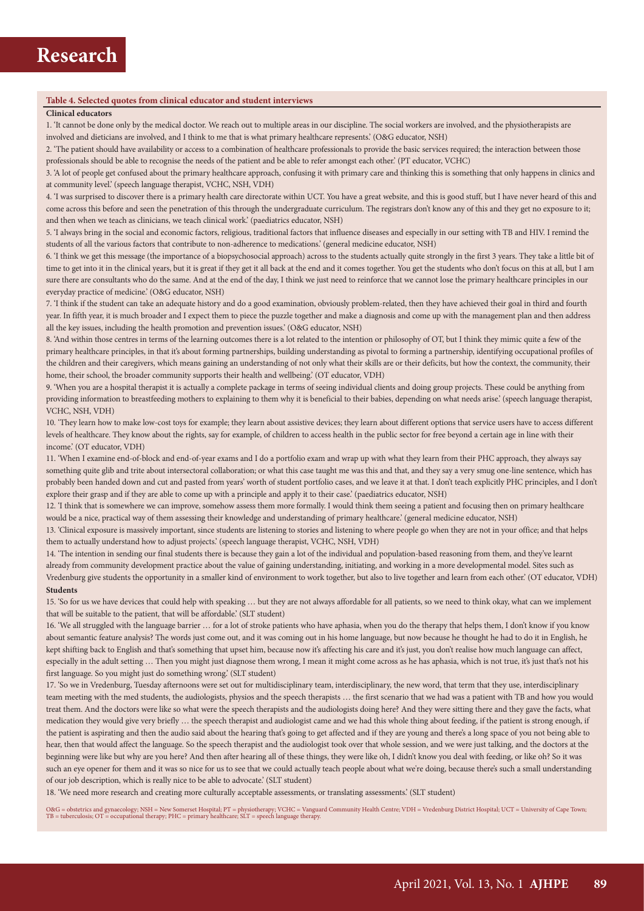#### **Table 4. Selected quotes from clinical educator and student interviews**

#### **Clinical educators**

1. 'It cannot be done only by the medical doctor. We reach out to multiple areas in our discipline. The social workers are involved, and the physiotherapists are involved and dieticians are involved, and I think to me that is what primary healthcare represents.' (O&G educator, NSH)

2. 'The patient should have availability or access to a combination of healthcare professionals to provide the basic services required; the interaction between those professionals should be able to recognise the needs of the patient and be able to refer amongst each other.' (PT educator, VCHC)

3. 'A lot of people get confused about the primary healthcare approach, confusing it with primary care and thinking this is something that only happens in clinics and at community level.' (speech language therapist, VCHC, NSH, VDH)

4. 'I was surprised to discover there is a primary health care directorate within UCT. You have a great website, and this is good stuff, but I have never heard of this and come across this before and seen the penetration of this through the undergraduate curriculum. The registrars don't know any of this and they get no exposure to it; and then when we teach as clinicians, we teach clinical work.' (paediatrics educator, NSH)

5. 'I always bring in the social and economic factors, religious, traditional factors that influence diseases and especially in our setting with TB and HIV. I remind the students of all the various factors that contribute to non-adherence to medications.' (general medicine educator, NSH)

6. 'I think we get this message (the importance of a biopsychosocial approach) across to the students actually quite strongly in the first 3 years. They take a little bit of time to get into it in the clinical years, but it is great if they get it all back at the end and it comes together. You get the students who don't focus on this at all, but I am sure there are consultants who do the same. And at the end of the day, I think we just need to reinforce that we cannot lose the primary healthcare principles in our everyday practice of medicine.' (O&G educator, NSH)

7. 'I think if the student can take an adequate history and do a good examination, obviously problem-related, then they have achieved their goal in third and fourth year. In fifth year, it is much broader and I expect them to piece the puzzle together and make a diagnosis and come up with the management plan and then address all the key issues, including the health promotion and prevention issues.' (O&G educator, NSH)

8. 'And within those centres in terms of the learning outcomes there is a lot related to the intention or philosophy of OT, but I think they mimic quite a few of the primary healthcare principles, in that it's about forming partnerships, building understanding as pivotal to forming a partnership, identifying occupational profiles of the children and their caregivers, which means gaining an understanding of not only what their skills are or their deficits, but how the context, the community, their home, their school, the broader community supports their health and wellbeing.' (OT educator, VDH)

9. 'When you are a hospital therapist it is actually a complete package in terms of seeing individual clients and doing group projects. These could be anything from providing information to breastfeeding mothers to explaining to them why it is beneficial to their babies, depending on what needs arise.' (speech language therapist, VCHC, NSH, VDH)

10. 'They learn how to make low-cost toys for example; they learn about assistive devices; they learn about different options that service users have to access different levels of healthcare. They know about the rights, say for example, of children to access health in the public sector for free beyond a certain age in line with their income.' (OT educator, VDH)

11. 'When I examine end-of-block and end-of-year exams and I do a portfolio exam and wrap up with what they learn from their PHC approach, they always say something quite glib and trite about intersectoral collaboration; or what this case taught me was this and that, and they say a very smug one-line sentence, which has probably been handed down and cut and pasted from years' worth of student portfolio cases, and we leave it at that. I don't teach explicitly PHC principles, and I don't explore their grasp and if they are able to come up with a principle and apply it to their case.' (paediatrics educator, NSH)

12. 'I think that is somewhere we can improve, somehow assess them more formally. I would think them seeing a patient and focusing then on primary healthcare would be a nice, practical way of them assessing their knowledge and understanding of primary healthcare.' (general medicine educator, NSH)

13. 'Clinical exposure is massively important, since students are listening to stories and listening to where people go when they are not in your office; and that helps them to actually understand how to adjust projects.' (speech language therapist, VCHC, NSH, VDH)

14. 'The intention in sending our final students there is because they gain a lot of the individual and population-based reasoning from them, and they've learnt already from community development practice about the value of gaining understanding, initiating, and working in a more developmental model. Sites such as Vredenburg give students the opportunity in a smaller kind of environment to work together, but also to live together and learn from each other.' (OT educator, VDH) **Students**

#### 15. 'So for us we have devices that could help with speaking … but they are not always affordable for all patients, so we need to think okay, what can we implement that will be suitable to the patient, that will be affordable.' (SLT student)

16. 'We all struggled with the language barrier … for a lot of stroke patients who have aphasia, when you do the therapy that helps them, I don't know if you know about semantic feature analysis? The words just come out, and it was coming out in his home language, but now because he thought he had to do it in English, he kept shifting back to English and that's something that upset him, because now it's affecting his care and it's just, you don't realise how much language can affect, especially in the adult setting ... Then you might just diagnose them wrong, I mean it might come across as he has aphasia, which is not true, it's just that's not his first language. So you might just do something wrong.' (SLT student)

17. 'So we in Vredenburg, Tuesday afternoons were set out for multidisciplinary team, interdisciplinary, the new word, that term that they use, interdisciplinary team meeting with the med students, the audiologists, physios and the speech therapists … the first scenario that we had was a patient with TB and how you would treat them. And the doctors were like so what were the speech therapists and the audiologists doing here? And they were sitting there and they gave the facts, what medication they would give very briefly … the speech therapist and audiologist came and we had this whole thing about feeding, if the patient is strong enough, if the patient is aspirating and then the audio said about the hearing that's going to get affected and if they are young and there's a long space of you not being able to hear, then that would affect the language. So the speech therapist and the audiologist took over that whole session, and we were just talking, and the doctors at the beginning were like but why are you here? And then after hearing all of these things, they were like oh, I didn't know you deal with feeding, or like oh? So it was such an eye opener for them and it was so nice for us to see that we could actually teach people about what we're doing, because there's such a small understanding of our job description, which is really nice to be able to advocate.' (SLT student)

18. 'We need more research and creating more culturally acceptable assessments, or translating assessments.' (SLT student)

O&G = obstetrics and gynaecology; NSH = New Somerset Hospital; PT = physiotherapy; VCHC = Vanguard Community Health Centre; VDH = Vredenburg District Hospital; UCT = University of Cape Town;<br>TB = tuberculosis; OT = occupat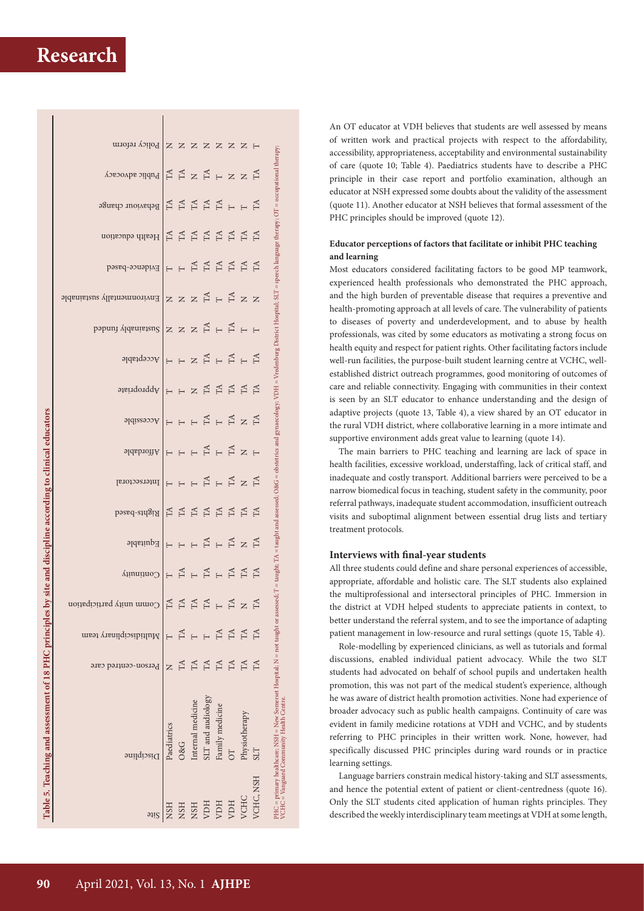| m z z z z z z z z Holicy reform                                                                                                                                                                                                                                                   |                |          |                   |                   |                 |           |               |                                                                                                                                                                                                                                                                           |
|-----------------------------------------------------------------------------------------------------------------------------------------------------------------------------------------------------------------------------------------------------------------------------------|----------------|----------|-------------------|-------------------|-----------------|-----------|---------------|---------------------------------------------------------------------------------------------------------------------------------------------------------------------------------------------------------------------------------------------------------------------------|
| $\mathbb{A}$ $\leq$ $\leq$ $\leq$ $\mathbb{A}$ $\leq$ $\mathbb{A}$ $\leq$ $\mathbb{A}$ $\leq$ $\mathbb{A}$ $\leq$ $\mathbb{A}$ $\leq$ $\leq$ $\leq$ $\leq$ $\leq$ $\leq$ $\leq$ $\leq$ $\leq$ $\leq$ $\leq$ $\leq$ $\leq$ $\leq$ $\leq$ $\leq$ $\leq$ $\leq$ $\leq$ $\leq$ $\leq$ |                |          |                   |                   |                 |           |               |                                                                                                                                                                                                                                                                           |
| agnado uvoivadad 로 로 모 로 드 드 보                                                                                                                                                                                                                                                    |                |          |                   |                   |                 |           |               |                                                                                                                                                                                                                                                                           |
| noitsoubs dilash   日日日日                                                                                                                                                                                                                                                           |                |          |                   |                   |                 |           |               |                                                                                                                                                                                                                                                                           |
|                                                                                                                                                                                                                                                                                   |                |          |                   |                   |                 |           |               |                                                                                                                                                                                                                                                                           |
| Environmentally sustainable                                                                                                                                                                                                                                                       |                | ZZZHETZZ |                   |                   |                 |           |               |                                                                                                                                                                                                                                                                           |
| pəpunj $\Lambda$ qeuieisn $S \mid Z \mid Z \mid Z \mid \exists f \in \mathcal{F}$                                                                                                                                                                                                 |                |          |                   |                   |                 |           |               | $\vdash$                                                                                                                                                                                                                                                                  |
|                                                                                                                                                                                                                                                                                   |                |          |                   |                   |                 |           |               |                                                                                                                                                                                                                                                                           |
| pteridoridal   H H X 등 등 등 등 등 등                                                                                                                                                                                                                                                  |                |          |                   |                   |                 |           |               |                                                                                                                                                                                                                                                                           |
| $\mathbb{P}[\mathbb{E} \times \mathbb{E} \times \mathbb{E}] \times \mathbb{E}[\mathbb{E} \times \mathbb{E} \times \mathbb{E}]$                                                                                                                                                    |                |          |                   |                   |                 |           |               |                                                                                                                                                                                                                                                                           |
|                                                                                                                                                                                                                                                                                   |                |          |                   |                   |                 |           |               |                                                                                                                                                                                                                                                                           |
|                                                                                                                                                                                                                                                                                   |                |          |                   |                   |                 |           |               |                                                                                                                                                                                                                                                                           |
| bəsəd-atdgist ដូម្មម្រូនមូម                                                                                                                                                                                                                                                       |                |          |                   |                   |                 |           |               |                                                                                                                                                                                                                                                                           |
|                                                                                                                                                                                                                                                                                   |                |          |                   |                   |                 |           |               |                                                                                                                                                                                                                                                                           |
| Viiuninno)   H ឬ H ឬ H ឬ ឬ ឬ                                                                                                                                                                                                                                                      |                |          |                   |                   |                 |           |               |                                                                                                                                                                                                                                                                           |
|                                                                                                                                                                                                                                                                                   |                |          |                   |                   |                 |           |               |                                                                                                                                                                                                                                                                           |
| Multidisciplinary team                                                                                                                                                                                                                                                            | $\vdash$       | TA       |                   |                   | TA              | IA        | IA            | TA                                                                                                                                                                                                                                                                        |
| Person-centred care                                                                                                                                                                                                                                                               | $\overline{z}$ | TA       | TA                | $H\Lambda$        | TA              | TA        | FA            | fA                                                                                                                                                                                                                                                                        |
| Discipline                                                                                                                                                                                                                                                                        | Paediatrics    | O&G      | Internal medicine | SLT and audiology | Family medicine |           | Physiotherapy | PHC = primary healthcare; NSH = New Somerset Hospital; N = not taught or assessed; T = aught and assessed; O&G = obstetrics and gymaecology; VDH = Vredenburg District Hospital; SLT = speech language therapy; OT = occupatio<br>VCHC = Vanguard Community Health Centre |
| <b>aji2</b>                                                                                                                                                                                                                                                                       | HSN            | HSN      | HSN               | HCL               | HCL             | <b>HC</b> | /CH           | <sup>7</sup> CHC, NSH                                                                                                                                                                                                                                                     |

An OT educator at VDH believes that students are well assessed by means of written work and practical projects with respect to the affordability, accessibility, appropriateness, acceptability and environmental sustainability of care (quote 10; Table 4). Paediatrics students have to describe a PHC principle in their case report and portfolio examination, although an educator at NSH expressed some doubts about the validity of the assessment (quote 11). Another educator at NSH believes that formal assessment of the PHC principles should be improved (quote 12).

#### **Educator perceptions of factors that facilitate or inhibit PHC teaching and learning**

Most educators considered facilitating factors to be good MP teamwork, experienced health professionals who demonstrated the PHC approach, and the high burden of preventable disease that requires a preventive and health-promoting approach at all levels of care. The vulnerability of patients to diseases of poverty and underdevelopment, and to abuse by health professionals, was cited by some educators as motivating a strong focus on health equity and respect for patient rights. Other facilitating factors include well-run facilities, the purpose-built student learning centre at VCHC, wellestablished district outreach programmes, good monitoring of outcomes of care and reliable connectivity. Engaging with communities in their context is seen by an SLT educator to enhance understanding and the design of adaptive projects (quote 13, Table 4), a view shared by an OT educator in the rural VDH district, where collaborative learning in a more intimate and supportive environment adds great value to learning (quote 14).

The main barriers to PHC teaching and learning are lack of space in health facilities, excessive workload, understaffing, lack of critical staff, and inadequate and costly transport. Additional barriers were perceived to be a narrow biomedical focus in teaching, student safety in the community, poor referral pathways, inadequate student accommodation, insufficient outreach visits and suboptimal alignment between essential drug lists and tertiary treatment protocols.

#### **Interviews with final-year students**

All three students could define and share personal experiences of accessible, appropriate, affordable and holistic care. The SLT students also explained the multiprofessional and intersectoral principles of PHC. Immersion in the district at VDH helped students to appreciate patients in context, to better understand the referral system, and to see the importance of adapting patient management in low-resource and rural settings (quote 15, Table 4).

Role-modelling by experienced clinicians, as well as tutorials and formal discussions, enabled individual patient advocacy. While the two SLT students had advocated on behalf of school pupils and undertaken health promotion, this was not part of the medical student's experience, although he was aware of district health promotion activities. None had experience of broader advocacy such as public health campaigns. Continuity of care was evident in family medicine rotations at VDH and VCHC, and by students referring to PHC principles in their written work. None, however, had specifically discussed PHC principles during ward rounds or in practice learning settings.

Language barriers constrain medical history-taking and SLT assessments, and hence the potential extent of patient or client-centredness (quote 16). Only the SLT students cited application of human rights principles. They described the weekly interdisciplinary team meetings at VDH at some length,

**Table 5. Teaching and assessment of 18 PHC principles by site and discipline according to clinical educators**

lable 5. Teaching and assessment of 18 PHC principles by site and discipline according to clinical educators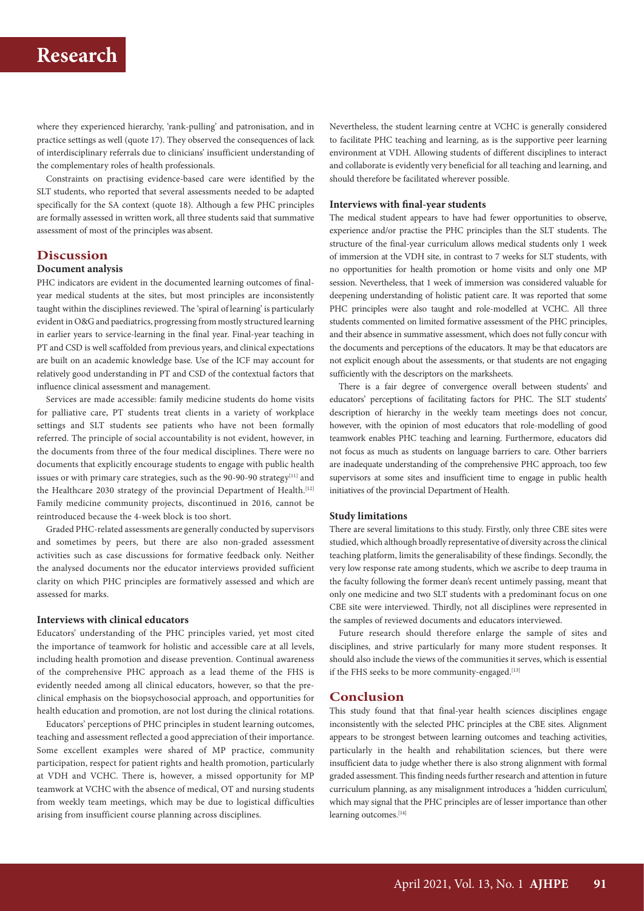where they experienced hierarchy, 'rank-pulling' and patronisation, and in practice settings as well (quote 17). They observed the consequences of lack of interdisciplinary referrals due to clinicians' insufficient understanding of the complementary roles of health professionals.

Constraints on practising evidence-based care were identified by the SLT students, who reported that several assessments needed to be adapted specifically for the SA context (quote 18). Although a few PHC principles are formally assessed in written work, all three students said that summative assessment of most of the principles was absent.

#### **Discussion**

#### **Document analysis**

PHC indicators are evident in the documented learning outcomes of finalyear medical students at the sites, but most principles are inconsistently taught within the disciplines reviewed. The 'spiral of learning' is particularly evident in O&G and paediatrics, progressing from mostly structured learning in earlier years to service-learning in the final year. Final-year teaching in PT and CSD is well scaffolded from previous years, and clinical expectations are built on an academic knowledge base. Use of the ICF may account for relatively good understanding in PT and CSD of the contextual factors that influence clinical assessment and management.

Services are made accessible: family medicine students do home visits for palliative care, PT students treat clients in a variety of workplace settings and SLT students see patients who have not been formally referred. The principle of social accountability is not evident, however, in the documents from three of the four medical disciplines. There were no documents that explicitly encourage students to engage with public health issues or with primary care strategies, such as the 90-90-90 strategy $[11]$  and the Healthcare 2030 strategy of the provincial Department of Health.<sup>[12]</sup> Family medicine community projects, discontinued in 2016, cannot be reintroduced because the 4-week block is too short.

Graded PHC-related assessments are generally conducted by supervisors and sometimes by peers, but there are also non-graded assessment activities such as case discussions for formative feedback only. Neither the analysed documents nor the educator interviews provided sufficient clarity on which PHC principles are formatively assessed and which are assessed for marks.

#### **Interviews with clinical educators**

Educators' understanding of the PHC principles varied, yet most cited the importance of teamwork for holistic and accessible care at all levels, including health promotion and disease prevention. Continual awareness of the comprehensive PHC approach as a lead theme of the FHS is evidently needed among all clinical educators, however, so that the preclinical emphasis on the biopsychosocial approach, and opportunities for health education and promotion, are not lost during the clinical rotations.

Educators' perceptions of PHC principles in student learning outcomes, teaching and assessment reflected a good appreciation of their importance. Some excellent examples were shared of MP practice, community participation, respect for patient rights and health promotion, particularly at VDH and VCHC. There is, however, a missed opportunity for MP teamwork at VCHC with the absence of medical, OT and nursing students from weekly team meetings, which may be due to logistical difficulties arising from insufficient course planning across disciplines.

Nevertheless, the student learning centre at VCHC is generally considered to facilitate PHC teaching and learning, as is the supportive peer learning environment at VDH. Allowing students of different disciplines to interact and collaborate is evidently very beneficial for all teaching and learning, and should therefore be facilitated wherever possible.

#### **Interviews with final-year students**

The medical student appears to have had fewer opportunities to observe, experience and/or practise the PHC principles than the SLT students. The structure of the final-year curriculum allows medical students only 1 week of immersion at the VDH site, in contrast to 7 weeks for SLT students, with no opportunities for health promotion or home visits and only one MP session. Nevertheless, that 1 week of immersion was considered valuable for deepening understanding of holistic patient care. It was reported that some PHC principles were also taught and role-modelled at VCHC. All three students commented on limited formative assessment of the PHC principles, and their absence in summative assessment, which does not fully concur with the documents and perceptions of the educators. It may be that educators are not explicit enough about the assessments, or that students are not engaging sufficiently with the descriptors on the marksheets.

There is a fair degree of convergence overall between students' and educators' perceptions of facilitating factors for PHC. The SLT students' description of hierarchy in the weekly team meetings does not concur, however, with the opinion of most educators that role-modelling of good teamwork enables PHC teaching and learning. Furthermore, educators did not focus as much as students on language barriers to care. Other barriers are inadequate understanding of the comprehensive PHC approach, too few supervisors at some sites and insufficient time to engage in public health initiatives of the provincial Department of Health.

#### **Study limitations**

There are several limitations to this study. Firstly, only three CBE sites were studied, which although broadly representative of diversity across the clinical teaching platform, limits the generalisability of these findings. Secondly, the very low response rate among students, which we ascribe to deep trauma in the faculty following the former dean's recent untimely passing, meant that only one medicine and two SLT students with a predominant focus on one CBE site were interviewed. Thirdly, not all disciplines were represented in the samples of reviewed documents and educators interviewed.

Future research should therefore enlarge the sample of sites and disciplines, and strive particularly for many more student responses. It should also include the views of the communities it serves, which is essential if the FHS seeks to be more community-engaged.<sup>[13]</sup>

#### **Conclusion**

This study found that that final-year health sciences disciplines engage inconsistently with the selected PHC principles at the CBE sites. Alignment appears to be strongest between learning outcomes and teaching activities, particularly in the health and rehabilitation sciences, but there were insufficient data to judge whether there is also strong alignment with formal graded assessment. This finding needs further research and attention in future curriculum planning, as any misalignment introduces a 'hidden curriculum', which may signal that the PHC principles are of lesser importance than other learning outcomes.<sup>[14]</sup>